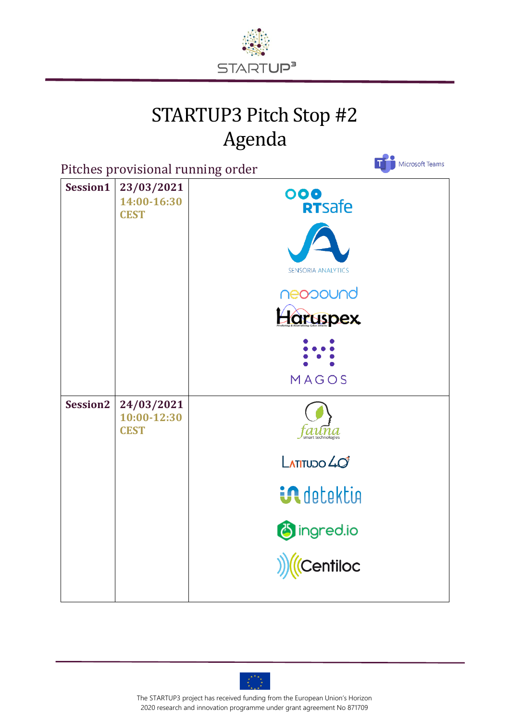

## STARTUP3 Pitch Stop #2 Agenda

 $\bullet$ 

| Pitches provisional running order | Microsoft Teams                          |                                                                                                                         |  |
|-----------------------------------|------------------------------------------|-------------------------------------------------------------------------------------------------------------------------|--|
| Session1                          | 23/03/2021<br>14:00-16:30<br><b>CEST</b> | ooo<br>RTSafe<br><b>SENSORIA ANALYTICS</b><br>neopound<br>Haruspex<br>MAGOS                                             |  |
| Session <sub>2</sub>              | 24/03/2021<br>10:00-12:30<br><b>CEST</b> | $n\hspace{0.1pt}a$<br>smart technologies<br>$L$ ATITUDO $40^{\circ}$<br><b>in</b> detektion<br>Singred.io<br>((Centiloc |  |



The STARTUP3 project has received funding from the European Union's Horizon 2020 research and innovation programme under grant agreement No 871709